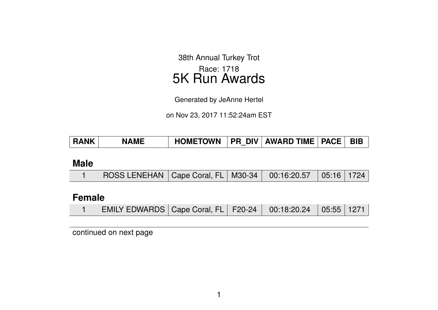38th Annual Turkey Trot Race: 1718 5K Run Awards

Generated by JeAnne Hertel

on Nov 23, 2017 11:52:24am EST

| <b>RANK</b> | <b>NAME</b> | HOMETOWN   PR DIV   AWARD TIME   PACE   BIB |  |  |  |  |
|-------------|-------------|---------------------------------------------|--|--|--|--|
|-------------|-------------|---------------------------------------------|--|--|--|--|

#### **Male**

| ROSS LENEHAN   Cape Coral, FL   M30-34   00:16:20.57   05:16   1724 |  |  |  |  |  |  |  |
|---------------------------------------------------------------------|--|--|--|--|--|--|--|
|---------------------------------------------------------------------|--|--|--|--|--|--|--|

### **Female**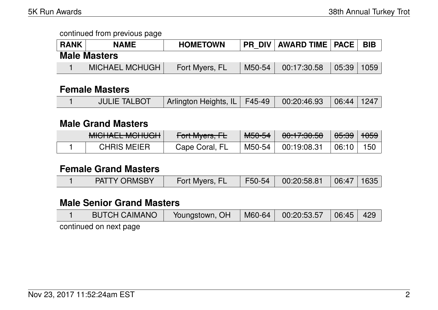| <b>RANK</b> | <b>NAME</b>           | <b>HOMETOWN</b> |        | PR DIV   AWARD TIME   PACE   BIB |            |  |
|-------------|-----------------------|-----------------|--------|----------------------------------|------------|--|
|             | <b>Male Masters</b>   |                 |        |                                  |            |  |
|             | <b>MICHAEL MCHUGH</b> | Fort Myers, FL  | M50-54 | 00:17:30.58                      | 05:39 1059 |  |

### **Female Masters**

|  | <b>JULIE TALBOT</b> | Arlington Heights, IL   F45-49   00:20:46.93   06:44   1247 |  |  |  |  |
|--|---------------------|-------------------------------------------------------------|--|--|--|--|
|--|---------------------|-------------------------------------------------------------|--|--|--|--|

### **Male Grand Masters**

| MIOUALE MOULOU<br><b>MIDITALL MUTUUT</b> | $\Gamma_{\alpha}$ <sup>+</sup> M <sub>uare</sub> $\Gamma$<br>$T$ UTTWIYCIS, IT | MLO <sub>L</sub><br>ਾਗ <del>ਰਚਾਰਥ</del> ਾ | 0.47.00E<br>7 <del>00.17.00.00</del> | <del>05:39</del> | <del>1059</del> |
|------------------------------------------|--------------------------------------------------------------------------------|-------------------------------------------|--------------------------------------|------------------|-----------------|
| <b>CHRIS MEIER</b>                       | Cape Coral, FL                                                                 | M50-54                                    | 00:19:08.31                          | 06:10            | 150             |

#### **Female Grand Masters**

| F50-54<br><b>PATTY ORMSBY</b><br>00:20:58.81<br>$\mid 06:47 \mid 1635$<br>Fort Myers, FL |  |
|------------------------------------------------------------------------------------------|--|
|------------------------------------------------------------------------------------------|--|

## **Male Senior Grand Masters**

| <b>BUTCH CAIMANO</b>   | Youngstown, OH | $\parallel$ M60-64 $\parallel$ 00:20:53.57 $\parallel$ 06:45 $\parallel$ 429 |  |
|------------------------|----------------|------------------------------------------------------------------------------|--|
| continued on pout pose |                |                                                                              |  |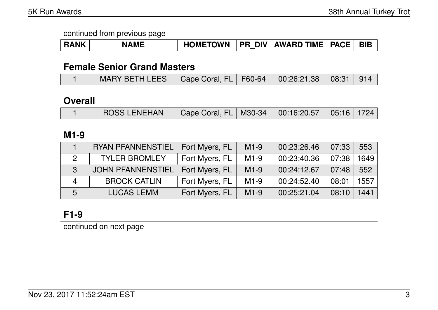|  | NAML | <b>HOMETOWN</b> | <b>DIV</b><br><b>PR</b> | <b>AWARD TIME</b> | <b>PACE</b> |  |
|--|------|-----------------|-------------------------|-------------------|-------------|--|
|--|------|-----------------|-------------------------|-------------------|-------------|--|

### **Female Senior Grand Masters**

|  | MARY BETH LEES   Cape Coral, FL   F60-64   00:26:21.38   08:31   914 |  |  |  |  |  |
|--|----------------------------------------------------------------------|--|--|--|--|--|
|--|----------------------------------------------------------------------|--|--|--|--|--|

## **Overall**

|  | <b>ROSS LENEHAN</b> | Cape Coral, FL   M30-34   00:16:20.57   05:16   1724 |  |  |  |  |
|--|---------------------|------------------------------------------------------|--|--|--|--|
|--|---------------------|------------------------------------------------------|--|--|--|--|

### **M1-9**

|                  | <b>RYAN PFANNENSTIEL</b> | Fort Myers, FL | $M1-9$ | 00:23:26.46 | 07:33 | 553  |
|------------------|--------------------------|----------------|--------|-------------|-------|------|
|                  | <b>TYLER BROMLEY</b>     | Fort Myers, FL | $M1-9$ | 00:23:40.36 | 07:38 | 1649 |
| 3                | <b>JOHN PFANNENSTIEL</b> | Fort Myers, FL | $M1-9$ | 00:24:12.67 | 07:48 | 552  |
| $\boldsymbol{4}$ | <b>BROCK CATLIN</b>      | Fort Myers, FL | $M1-9$ | 00:24:52.40 | 08:01 | 1557 |
| 5                | <b>LUCAS LEMM</b>        | Fort Myers, FL | $M1-9$ | 00:25:21.04 | 08:10 | 1441 |

# **F1-9**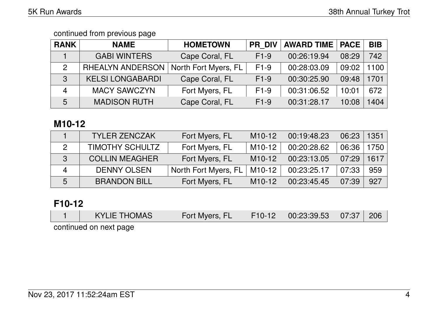| <b>RANK</b> | <b>NAME</b>             | <b>HOMETOWN</b>      | <b>PR DIV</b> | <b>AWARD TIME</b> | <b>PACE</b> | <b>BIB</b> |
|-------------|-------------------------|----------------------|---------------|-------------------|-------------|------------|
|             | <b>GABI WINTERS</b>     | Cape Coral, FL       | $F1-9$        | 00:26:19.94       | 08:29       | 742        |
| 2           | <b>RHEALYN ANDERSON</b> | North Fort Myers, FL | $F1-9$        | 00:28:03.09       | 09:02       | 100        |
| 3           | <b>KELSI LONGABARDI</b> | Cape Coral, FL       | $F1-9$        | 00:30:25.90       | 09:48       | 1701       |
| 4           | <b>MACY SAWCZYN</b>     | Fort Myers, FL       | $F1-9$        | 00:31:06.52       | 10:01       | 672        |
| 5           | <b>MADISON RUTH</b>     | Cape Coral, FL       | $F1-9$        | 00:31:28.17       | 10:08       | 1404       |

## **M10-12**

|                | <b>TYLER ZENCZAK</b>   | Fort Myers, FL       | M <sub>10</sub> -12 | 00:19:48.23 | 06:23 | 1351 |
|----------------|------------------------|----------------------|---------------------|-------------|-------|------|
|                | <b>TIMOTHY SCHULTZ</b> | Fort Myers, FL       | $M10-12$            | 00:20:28.62 | 06:36 | 1750 |
| 3              | <b>COLLIN MEAGHER</b>  | Fort Myers, FL       | $M10-12$            | 00:23:13.05 | 07:29 | 1617 |
| $\overline{4}$ | <b>DENNY OLSEN</b>     | North Fort Myers, FL | $M10-12$            | 00:23:25.17 | 07:33 | 959  |
| 5              | <b>BRANDON BILL</b>    | Fort Myers, FL       | $M10-12$            | 00:23:45.45 | 07:39 | 927  |

# **F10-12**

| $\vert$ 00:23:39.53 07:37 206<br><b>KYLIE THOMAS</b><br>$\mid$ F10-12 $\mid$<br>Fort Myers, FL |  |
|------------------------------------------------------------------------------------------------|--|
|------------------------------------------------------------------------------------------------|--|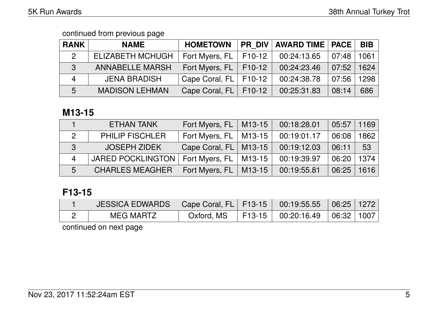| <b>RANK</b>    | <b>NAME</b>             | <b>HOMETOWN</b>             | <b>PR DIV</b> | <b>AWARD TIME   PACE  </b> |       | <b>BIB</b> |
|----------------|-------------------------|-----------------------------|---------------|----------------------------|-------|------------|
| 2              | <b>ELIZABETH MCHUGH</b> | Fort Myers, $FL$   $F10-12$ |               | 00:24:13.65                | 07:48 | 1061       |
| 3              | <b>ANNABELLE MARSH</b>  | Fort Myers, FL   F10-12     |               | 00:24:23.46                | 07:52 | 1624       |
| $\overline{4}$ | <b>JENA BRADISH</b>     | Cape Coral, FL   F10-12     |               | 00:24:38.78                | 07:56 | 1298       |
| 5              | <b>MADISON LEHMAN</b>   | Cape Coral, FL   F10-12     |               | 00:25:31.83                | 08:14 | 686        |

## **M13-15**

|                | ETHAN TANK               | Fort Myers, FL   M13-15   |        | 00:18:28.01 | 05:57 | 1169 |
|----------------|--------------------------|---------------------------|--------|-------------|-------|------|
| $\overline{2}$ | <b>PHILIP FISCHLER</b>   | Fort Myers, $FL$   M13-15 |        | 00:19:01.17 | 06:08 | 1862 |
| 3              | <b>JOSEPH ZIDEK</b>      | Cape Coral, FL   M13-15   |        | 00:19:12.03 | 06:11 | 53   |
| $\overline{4}$ | <b>JARED POCKLINGTON</b> | Fort Myers, $FL$   M13-15 |        | 00:19:39.97 | 06:20 | 1374 |
| 5              | <b>CHARLES MEAGHER</b>   | Fort Myers, FL            | M13-15 | 00:19:55.81 | 06:25 | 1616 |

## **F13-15**

| JESSICA EDWARDS   Cape Coral, FL   F13-15   00:19:55.55   06:25   1272 |  |                                                  |  |
|------------------------------------------------------------------------|--|--------------------------------------------------|--|
| MEG MARTZ                                                              |  | Oxford, MS   F13-15   00:20:16.49   06:32   1007 |  |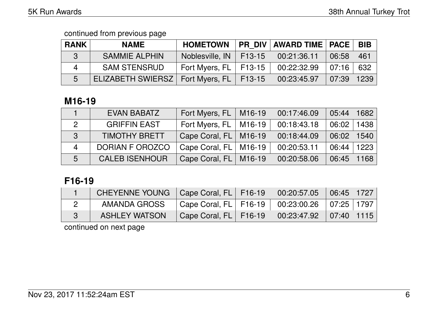| <b>RANK</b> | <b>NAME</b>                | <b>HOMETOWN</b>             | PR_DIV   AWARD TIME   PACE   BIB |                     |      |
|-------------|----------------------------|-----------------------------|----------------------------------|---------------------|------|
| 3           | <b>SAMMIE ALPHIN</b>       | Noblesville, IN   F13-15    | 00:21:36.11                      | 06:58               | -461 |
| 4           | <b>SAM STENSRUD</b>        | Fort Myers, $FL$   $F13-15$ | 00:22:32.99                      | $\mid$ 07:16 $\mid$ | 632  |
| 5           | <b>ELIZABETH SWIERSZ  </b> | Fort Myers, $FL$   F13-15   | 00:23:45.97                      | 07:39               | 1239 |

### **M16-19**

|                | <b>EVAN BABATZ</b>    | Fort Myers, FL   M16-19   | 00:17:46.09 | 05:44 | 1682 |
|----------------|-----------------------|---------------------------|-------------|-------|------|
|                | <b>GRIFFIN EAST</b>   | Fort Myers, $FL$   M16-19 | 00:18:43.18 | 06:02 | 1438 |
| 3              | <b>TIMOTHY BRETT</b>  | Cape Coral, FL   M16-19   | 00:18:44.09 | 06:02 | 1540 |
| $\overline{4}$ | DORIAN F OROZCO       | Cape Coral, FL   M16-19   | 00:20:53.11 | 06:44 | 1223 |
| 5              | <b>CALEB ISENHOUR</b> | Cape Coral, FL   M16-19   | 00:20:58.06 | 06:45 | 1168 |

## **F16-19**

| CHEYENNE YOUNG   Cape Coral, FL   F16-19 |                                                      | $00:20:57.05$ 06:45 1727     |  |
|------------------------------------------|------------------------------------------------------|------------------------------|--|
| AMANDA GROSS                             | Cape Coral, FL   F16-19   00:23:00.26   07:25   1797 |                              |  |
| <b>ASHLEY WATSON</b>                     | Cape Coral, FL   F16-19                              | $00:23:47.92$ $07:40$ $1115$ |  |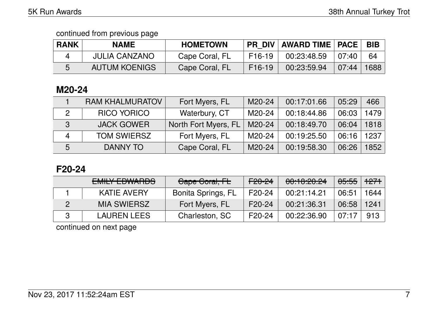| <b>RANK</b> | <b>NAME</b>          | <b>HOMETOWN</b> | <b>PR DIV</b>       | <b>∣AWARD TIME ∣ PACE</b> |                 | <b>BIB</b> |
|-------------|----------------------|-----------------|---------------------|---------------------------|-----------------|------------|
|             | <b>JULIA CANZANO</b> | Cape Coral, FL  | F16-19              | 00:23:48.59               | $ 07:40\rangle$ | 64         |
|             | <b>AUTUM KOENIGS</b> | Cape Coral, FL  | F <sub>16</sub> -19 | 00:23:59.94               | 07:44           | 1688       |

#### **M20-24**

|   | <b>RAM KHALMURATOV</b> | Fort Myers, FL       | M20-24 | 00:17:01.66 | 05:29 | 466  |
|---|------------------------|----------------------|--------|-------------|-------|------|
|   | <b>RICO YORICO</b>     | Waterbury, CT        | M20-24 | 00:18:44.86 | 06:03 | 1479 |
| 3 | <b>JACK GOWER</b>      | North Fort Myers, FL | M20-24 | 00:18:49.70 | 06:04 | 1818 |
|   | <b>TOM SWIERSZ</b>     | Fort Myers, FL       | M20-24 | 00:19:25.50 | 06:16 | 1237 |
| 5 | <b>DANNY TO</b>        | Cape Coral, FL       | M20-24 | 00:19:58.30 | 06:26 | 1852 |

## **F20-24**

| <b>EMILY FOWADDC</b><br><b>CWILL COVVALIDO</b> | Gape Goral, FL            | <del>F20-24</del>   | 00:10:20.24 | <del>05:55</del> | <del>1271</del> |
|------------------------------------------------|---------------------------|---------------------|-------------|------------------|-----------------|
| KATIE AVERY                                    | <b>Bonita Springs, FL</b> | F <sub>20</sub> -24 | 00:21:14.21 | $06:5^{\prime}$  | 1644            |
| <b>MIA SWIERSZ</b>                             | Fort Myers, FL            | $F20-24$            | 00:21:36.31 | 06:58            | 1241            |
| <b>LAUREN LEES</b>                             | Charleston, SC            | F <sub>20</sub> -24 | 00:22:36.90 | 07:17            | 913             |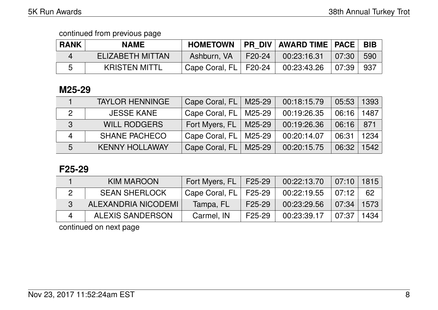| <b>RANK</b> | <b>NAME</b>          | <b>HOMETOWN</b> |                | <b>PR DIV AWARD TIME   PACE</b> |       | <b>BIB</b> |
|-------------|----------------------|-----------------|----------------|---------------------------------|-------|------------|
|             | ELIZABETH MITTAN     | Ashburn, VA     | $\sqrt{20-24}$ | 00:23:16.31                     | 07:30 | 590        |
|             | <b>KRISTEN MITTL</b> | Cape Coral, FL  | F20-24         | 00:23:43.26                     | 07:39 | 937        |

#### **M25-29**

|                          | <b>TAYLOR HENNINGE</b> | Cape Coral, FL   M25-29 | 00:18:15.79 | 05:53 | 1393 |
|--------------------------|------------------------|-------------------------|-------------|-------|------|
| 2                        | <b>JESSE KANE</b>      | Cape Coral, FL   M25-29 | 00:19:26.35 | 06:16 | 1487 |
| 3                        | <b>WILL RODGERS</b>    | Fort Myers, FL   M25-29 | 00:19:26.36 | 06:16 | 871  |
| $\overline{\mathcal{A}}$ | <b>SHANE PACHECO</b>   | Cape Coral, FL   M25-29 | 00:20:14.07 | 06:31 | 1234 |
| 5                        | <b>KENNY HOLLAWAY</b>  | Cape Coral, FL   M25-29 | 00:20:15.75 | 06:32 | 1542 |

### **F25-29**

| KIM MAROON              | Fort Myers, FL | F25-29              | 00:22:13.70 | 07:10 1815     |      |
|-------------------------|----------------|---------------------|-------------|----------------|------|
| <b>SEAN SHERLOCK</b>    | Cape Coral, FL | F25-29              | 00:22:19.55 | 07:12          | 62   |
| ALEXANDRIA NICODEMI     | Tampa, FL      | F <sub>25</sub> -29 | 00:23:29.56 | $07:34$   1573 |      |
| <b>ALEXIS SANDERSON</b> | Carmel, IN     | F25-29              | 00:23:39.17 | 07:37          | 1434 |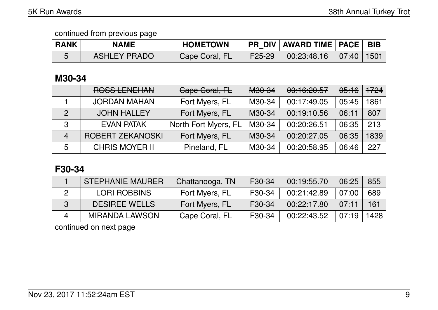| <b>RANK</b> | <b>NAME</b>         | <b>HOMETOWN</b> |        | PR DIV   AWARD TIME   PACE   BIB                                                                                                                                                                                                                                                                                                                                                   |      |
|-------------|---------------------|-----------------|--------|------------------------------------------------------------------------------------------------------------------------------------------------------------------------------------------------------------------------------------------------------------------------------------------------------------------------------------------------------------------------------------|------|
|             | <b>ASHLEY PRADO</b> | Cape Coral, FL  | F25-29 | $\begin{array}{ c c c c c }\hline \rule{0pt}{1.2ex}\rule{0pt}{2.2ex} & \rule{0pt}{2.2ex} \rule{0pt}{2.2ex} & \rule{0pt}{2.2ex} \rule{0pt}{2.2ex} & \rule{0pt}{2.2ex} & \rule{0pt}{2.2ex} \rule{0pt}{2.2ex} & \rule{0pt}{2.2ex} & \rule{0pt}{2.2ex} & \rule{0pt}{2.2ex} \rule{0pt}{2.2ex} & \rule{0pt}{2.2ex} & \rule{0pt}{2.2ex} & \rule{0pt}{2.2ex} & \rule{0pt}{2.2ex} & \rule{$ | 1501 |

## **M30-34**

|                | ROSS LENEHAN            | Cape Coral, FL       | <b>M30-34</b> | 0.40.00.57<br><u>UU.TU.ZU.JT</u> | <del>05:16</del> | +724 |
|----------------|-------------------------|----------------------|---------------|----------------------------------|------------------|------|
|                | <b>JORDAN MAHAN</b>     | Fort Myers, FL       | M30-34        | 00:17:49.05                      | 05:45            | 1861 |
| $\overline{2}$ | <b>JOHN HALLEY</b>      | Fort Myers, FL       | M30-34        | 00:19:10.56                      | 06:11            | 807  |
| $\mathbf{3}$   | <b>EVAN PATAK</b>       | North Fort Myers, FL | M30-34        | 00:20:26.51                      | 06:35            | 213  |
| $\overline{4}$ | <b>ROBERT ZEKANOSKI</b> | Fort Myers, FL       | M30-34        | 00:20:27.05                      | 06:35            | 1839 |
| 5              | <b>CHRIS MOYER II</b>   | Pineland, FL         | M30-34        | 00:20:58.95                      | 06:46            | 227  |

## **F30-34**

| <b>STEPHANIE MAURER</b> | Chattanooga, TN | F30-34 | 00:19:55.70 | 06:25 | 855  |
|-------------------------|-----------------|--------|-------------|-------|------|
| <b>LORI ROBBINS</b>     | Fort Myers, FL  | F30-34 | 00:21:42.89 | 07:00 | 689  |
| <b>DESIREE WELLS</b>    | Fort Myers, FL  | F30-34 | 00:22:17.80 | 07:11 | 161  |
| <b>MIRANDA LAWSON</b>   | Cape Coral, FL  | F30-34 | 00:22:43.52 | 07:19 | 1428 |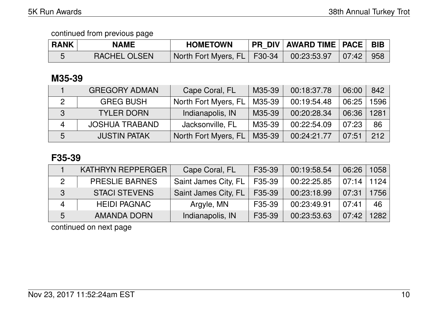| <b>RANK</b> | <b>NAME</b>         | <b>HOMETOWN</b>                                           | PR DIV   AWARD TIME   PACE   BIB |  |
|-------------|---------------------|-----------------------------------------------------------|----------------------------------|--|
|             | <b>RACHEL OLSEN</b> | North Fort Myers, FL   F30-34   00:23:53.97   07:42   958 |                                  |  |

## **M35-39**

|                | <b>GREGORY ADMAN</b>  | Cape Coral, FL       | M35-39 | 00:18:37.78 | 06:00 | 842  |
|----------------|-----------------------|----------------------|--------|-------------|-------|------|
| 2              | <b>GREG BUSH</b>      | North Fort Myers, FL | M35-39 | 00:19:54.48 | 06:25 | 1596 |
| 3              | <b>TYLER DORN</b>     | Indianapolis, IN     | M35-39 | 00:20:28.34 | 06:36 | 1281 |
| $\overline{4}$ | <b>JOSHUA TRABAND</b> | Jacksonville, FL     | M35-39 | 00:22:54.09 | 07:23 | 86   |
| 5              | <b>JUSTIN PATAK</b>   | North Fort Myers, FL | M35-39 | 00:24:21.77 | 07:51 | 212  |

### **F35-39**

|                          | <b>KATHRYN REPPERGER</b> | Cape Coral, FL       | F35-39              | 00:19:58.54 | 06:26 | 1058 |
|--------------------------|--------------------------|----------------------|---------------------|-------------|-------|------|
| 2                        | <b>PRESLIE BARNES</b>    | Saint James City, FL | F35-39              | 00:22:25.85 | 07:14 | 1124 |
| 3 <sup>′</sup>           | <b>STACI STEVENS</b>     | Saint James City, FL | F35-39              | 00:23:18.99 | 07:31 | 1756 |
| $\boldsymbol{\varDelta}$ | <b>HEIDI PAGNAC</b>      | Argyle, MN           | F35-39              | 00:23:49.91 | 07:41 | 46   |
| 5                        | <b>AMANDA DORN</b>       | Indianapolis, IN     | F <sub>35</sub> -39 | 00:23:53.63 | 07:42 | 1282 |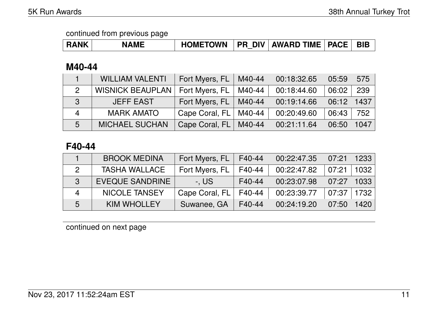| <b>RANK</b> | <b>NAME</b> | <b>HOMETOWN</b> | <b>PR DIV</b> | AWARD TIME   PACE |  | <b>BIB</b> |
|-------------|-------------|-----------------|---------------|-------------------|--|------------|
|-------------|-------------|-----------------|---------------|-------------------|--|------------|

### **M40-44**

|                | <b>WILLIAM VALENTI</b>  | Fort Myers, $FL$   M40-44 |        | 00:18:32.65 | 05:59 | 575  |
|----------------|-------------------------|---------------------------|--------|-------------|-------|------|
| $\overline{2}$ | <b>WISNICK BEAUPLAN</b> | Fort Myers, FL            | M40-44 | 00:18:44.60 | 06:02 | 239  |
| 3              | <b>JEFF EAST</b>        | Fort Myers, FL   M40-44   |        | 00:19:14.66 | 06:12 | 1437 |
| 4              | <b>MARK AMATO</b>       | Cape Coral, FL   M40-44   |        | 00:20:49.60 | 06:43 | 752  |
| 5              | <b>MICHAEL SUCHAN</b>   | Cape Coral, FL   M40-44   |        | 00:21:11.64 | 06:50 | 1047 |

### **F40-44**

|              | <b>BROOK MEDINA</b>    | Fort Myers, FL | F40-44 | 00:22:47.35 | 07:21 | 1233              |
|--------------|------------------------|----------------|--------|-------------|-------|-------------------|
|              | <b>TASHA WALLACE</b>   | Fort Myers, FL | F40-44 | 00:22:47.82 | 07:21 | 1032 <sub>1</sub> |
| $\mathbf{z}$ | <b>EVEQUE SANDRINE</b> | -. US          | F40-44 | 00:23:07.98 | 07:27 | 1033              |
| 4            | <b>NICOLE TANSEY</b>   | Cape Coral, FL | F40-44 | 00:23:39.77 | 07:37 | 1732              |
| 5            | <b>KIM WHOLLEY</b>     | Suwanee, GA    | F40-44 | 00:24:19.20 | 07:50 | 1420              |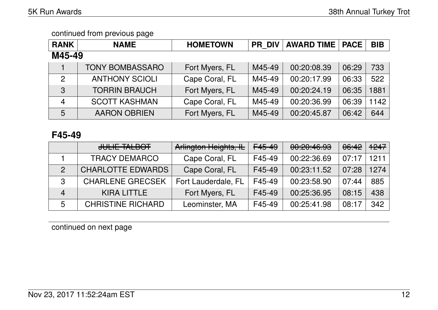| <b>RANK</b>    | <b>NAME</b>            | <b>HOMETOWN</b> | <b>PR DIV</b> | <b>AWARD TIME   PACE</b> |       | <b>BIB</b> |
|----------------|------------------------|-----------------|---------------|--------------------------|-------|------------|
| M45-49         |                        |                 |               |                          |       |            |
|                | <b>TONY BOMBASSARO</b> | Fort Myers, FL  | M45-49        | 00:20:08.39              | 06:29 | 733        |
| $\overline{2}$ | <b>ANTHONY SCIOLI</b>  | Cape Coral, FL  | M45-49        | 00:20:17.99              | 06:33 | 522        |
| $\mathbf{3}$   | <b>TORRIN BRAUCH</b>   | Fort Myers, FL  | M45-49        | 00:20:24.19              | 06:35 | 1881       |
| $\overline{4}$ | <b>SCOTT KASHMAN</b>   | Cape Coral, FL  | M45-49        | 00:20:36.99              | 06:39 | 1142       |
| 5              | <b>AARON OBRIEN</b>    | Fort Myers, FL  | M45-49        | 00:20:45.87              | 06:42 | 644        |

### **F45-49**

|   | JULIE TALBOT             | Arlington Heights, IL | F <sub>45-49</sub> | 00:20:46.93 | 06:42 | +247 |
|---|--------------------------|-----------------------|--------------------|-------------|-------|------|
|   | <b>TRACY DEMARCO</b>     | Cape Coral, FL        | F45-49             | 00:22:36.69 | 07:17 | 1211 |
|   | <b>CHARLOTTE EDWARDS</b> | Cape Coral, FL        | F45-49             | 00:23:11.52 | 07:28 | 1274 |
| 3 | <b>CHARLENE GRECSEK</b>  | Fort Lauderdale, FL   | F45-49             | 00:23:58.90 | 07:44 | 885  |
| 4 | <b>KIRA LITTLE</b>       | Fort Myers, FL        | F45-49             | 00:25:36.95 | 08:15 | 438  |
| 5 | <b>CHRISTINE RICHARD</b> | Leominster, MA        | F45-49             | 00:25:41.98 | 08:17 | 342  |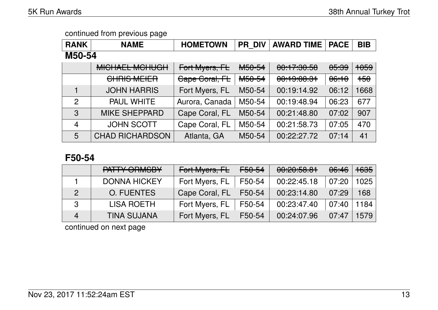| <b>RANK</b>    | <b>NAME</b>            | <b>HOMETOWN</b> | <b>PR DIV</b>      | <b>AWARD TIME</b> | <b>PACE</b>      | <b>BIB</b>      |  |  |
|----------------|------------------------|-----------------|--------------------|-------------------|------------------|-----------------|--|--|
| M50-54         |                        |                 |                    |                   |                  |                 |  |  |
|                | <b>MICHAEL MCHUGH</b>  | Fort Myers, FL  | M50-54             | 00:17:30.58       | <del>05:39</del> | <del>1059</del> |  |  |
|                | CHRIS MEIER            | Cape Coral, FL  | M <sub>50-54</sub> | 00:19:08.31       | 06:10            | $+50$           |  |  |
|                | <b>JOHN HARRIS</b>     | Fort Myers, FL  | M50-54             | 00:19:14.92       | 06:12            | 1668            |  |  |
| $\overline{2}$ | <b>PAUL WHITE</b>      | Aurora, Canada  | M50-54             | 00:19:48.94       | 06:23            | 677             |  |  |
| 3              | <b>MIKE SHEPPARD</b>   | Cape Coral, FL  | M50-54             | 00:21:48.80       | 07:02            | 907             |  |  |
| $\overline{4}$ | <b>JOHN SCOTT</b>      | Cape Coral, FL  | M50-54             | 00:21:58.73       | 07:05            | 470             |  |  |
| 5              | <b>CHAD RICHARDSON</b> | Atlanta, GA     | M50-54             | 00:22:27.72       | 07:14            | 41              |  |  |

### **F50-54**

|                | PATTY ORMSBY        | Fort Myers, FL | <del>F50-54</del> | 00:20:58.81 | <del>06:46</del> | <del>1635</del> |
|----------------|---------------------|----------------|-------------------|-------------|------------------|-----------------|
|                | <b>DONNA HICKEY</b> | Fort Myers, FL | F50-54            | 00:22:45.18 | 07:20            | 1025            |
| 2              | <b>O. FUENTES</b>   | Cape Coral, FL | F50-54            | 00:23:14.80 | 07:29            | 168             |
| 3              | <b>LISA ROETH</b>   | Fort Myers, FL | F50-54            | 00:23:47.40 | 07:40            | 1184            |
| $\overline{4}$ | <b>TINA SUJANA</b>  | Fort Myers, FL | F50-54            | 00:24:07.96 | 07:47            | 1579            |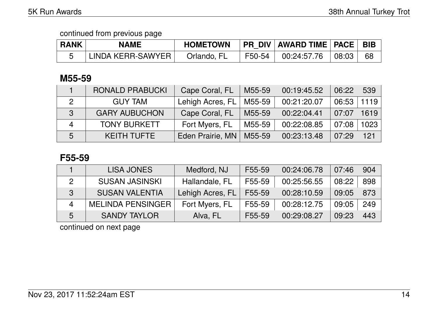| <b>RANK</b> | <b>NAME</b>       | <b>HOMETOWN</b> |        | <b>PR DIV AWARD TIME PACE  </b> |       | <b>BIB</b> |
|-------------|-------------------|-----------------|--------|---------------------------------|-------|------------|
|             | LINDA KERR-SAWYER | Orlando, FL     | F50-54 | 00:24:57.76                     | 08:03 | 68         |

### **M55-59**

|   | <b>RONALD PRABUCKI</b> | Cape Coral, FL   | M55-59 | 00:19:45.52 | 06:22 | 539  |
|---|------------------------|------------------|--------|-------------|-------|------|
|   | <b>GUY TAM</b>         | Lehigh Acres, FL | M55-59 | 00:21:20.07 | 06:53 | 1119 |
| 3 | <b>GARY AUBUCHON</b>   | Cape Coral, FL   | M55-59 | 00:22:04.41 | 07:07 | 1619 |
| 4 | <b>TONY BURKETT</b>    | Fort Myers, FL   | M55-59 | 00:22:08.85 | 07:08 | 1023 |
| 5 | <b>KEITH TUFTE</b>     | Eden Prairie, MN | M55-59 | 00:23:13.48 | 07:29 | 121  |

### **F55-59**

|   | <b>LISA JONES</b>        | Medford, NJ      | F55-59 | 00:24:06.78 | 07:46 | 904 |
|---|--------------------------|------------------|--------|-------------|-------|-----|
| 2 | <b>SUSAN JASINSKI</b>    | Hallandale, FL   | F55-59 | 00:25:56.55 | 08:22 | 898 |
| 3 | <b>SUSAN VALENTIA</b>    | Lehigh Acres, FL | F55-59 | 00:28:10.59 | 09:05 | 873 |
| Δ | <b>MELINDA PENSINGER</b> | Fort Myers, FL   | F55-59 | 00:28:12.75 | 09:05 | 249 |
| 5 | <b>SANDY TAYLOR</b>      | Alva, FL         | F55-59 | 00:29:08.27 | 09:23 | 443 |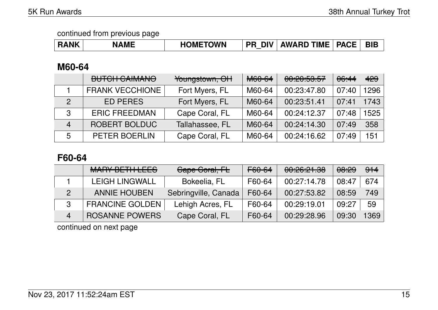| <b>RANK</b> | <b>NAME</b> | <b>HOMETOWN</b> | <b>DIV</b><br><b>PR</b><br>__ | <b>AWARD TIME</b> | <b>PACE</b> | <b>BIE</b> |
|-------------|-------------|-----------------|-------------------------------|-------------------|-------------|------------|
|-------------|-------------|-----------------|-------------------------------|-------------------|-------------|------------|

### **M60-64**

|                | <b>DUTOU CAIMANIO</b><br><b>DUTUITUAIIVIAIVU</b> | Youngstown, OH  | <b>M60-64</b> | 00,00,50,57<br><u>UU. CU. UU. UU</u> | 06:44 | 429  |
|----------------|--------------------------------------------------|-----------------|---------------|--------------------------------------|-------|------|
|                | <b>FRANK VECCHIONE</b>                           | Fort Myers, FL  | M60-64        | 00:23:47.80                          | 07:40 | 1296 |
| $\mathcal{P}$  | <b>ED PERES</b>                                  | Fort Myers, FL  | M60-64        | 00:23:51.41                          | 07:41 | 1743 |
| 3              | <b>ERIC FREEDMAN</b>                             | Cape Coral, FL  | M60-64        | 00:24:12.37                          | 07:48 | 1525 |
| $\overline{4}$ | <b>ROBERT BOLDUC</b>                             | Tallahassee, FL | M60-64        | 00:24:14.30                          | 07:49 | 358  |
| 5              | <b>PETER BOERLIN</b>                             | Cape Coral, FL  | M60-64        | 00:24:16.62                          | 07:49 | 151  |

## **F60-64**

|                          | <b>MARY BETH LEES</b>  | Cape Coral, FL       | F60-64 | 00:26:21.38 | <del>08:29</del> | $9+4$ |
|--------------------------|------------------------|----------------------|--------|-------------|------------------|-------|
|                          | <b>LEIGH LINGWALL</b>  | Bokeelia, FL         | F60-64 | 00:27:14.78 | 08:47            | 674   |
|                          | <b>ANNIE HOUBEN</b>    | Sebringville, Canada | F60-64 | 00:27:53.82 | 08:59            | 749   |
|                          | <b>FRANCINE GOLDEN</b> | Lehigh Acres, FL     | F60-64 | 00:29:19.01 | 09:27            | 59    |
| $\boldsymbol{\varDelta}$ | <b>ROSANNE POWERS</b>  | Cape Coral, FL       | F60-64 | 00:29:28.96 | 09:30            | 1369  |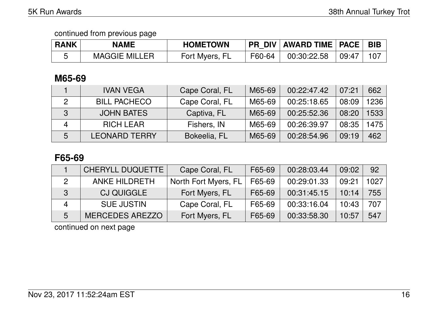| <b>RANK</b> | <b>NAME</b>          | <b>HOMETOWN</b> | <b>PR DIV</b> | AWARD TIME   PACE |                    | <b>BIB</b> |
|-------------|----------------------|-----------------|---------------|-------------------|--------------------|------------|
|             | <b>MAGGIE MILLER</b> | Fort Myers, FL  | F60-64        | 00:30:22.58       | $\overline{09:47}$ | 107        |

## **M65-69**

|              | <b>IVAN VEGA</b>     | Cape Coral, FL | M65-69 | 00:22:47.42 | 07:21 | 662  |
|--------------|----------------------|----------------|--------|-------------|-------|------|
|              | <b>BILL PACHECO</b>  | Cape Coral, FL | M65-69 | 00:25:18.65 | 08:09 | 1236 |
| $\mathbf{3}$ | <b>JOHN BATES</b>    | Captiva, FL    | M65-69 | 00:25:52.36 | 08:20 | 1533 |
|              | <b>RICH LEAR</b>     | Fishers, IN    | M65-69 | 00:26:39.97 | 08:35 | 1475 |
| 5            | <b>LEONARD TERRY</b> | Bokeelia, FL   | M65-69 | 00:28:54.96 | 09:19 | 462  |

### **F65-69**

|    | <b>CHERYLL DUQUETTE</b> | Cape Coral, FL       | F65-69 | 00:28:03.44 | 09:02 | 92   |
|----|-------------------------|----------------------|--------|-------------|-------|------|
|    | <b>ANKE HILDRETH</b>    | North Fort Myers, FL | F65-69 | 00:29:01.33 | 09:21 | 1027 |
| -3 | <b>CJ QUIGGLE</b>       | Fort Myers, FL       | F65-69 | 00:31:45.15 | 10:14 | 755  |
|    | <b>SUE JUSTIN</b>       | Cape Coral, FL       | F65-69 | 00:33:16.04 | 10:43 | 707  |
| 5  | <b>MERCEDES AREZZO</b>  | Fort Myers, FL       | F65-69 | 00:33:58.30 | 10:57 | 547  |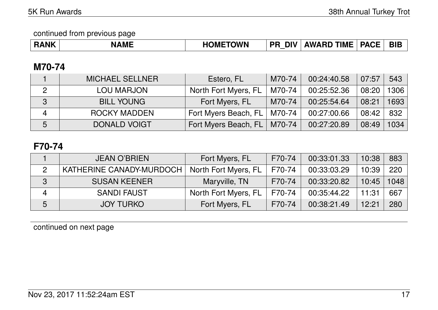continued from previous page

| <b>RANK</b><br>n. | AME<br>N, | <b>HOMETOWN</b> | <b>DIV</b><br>PR | <b>TIME</b><br>AWARD <sup>*</sup> | <b>PACE</b> | <b>BIE</b> |
|-------------------|-----------|-----------------|------------------|-----------------------------------|-------------|------------|
|-------------------|-----------|-----------------|------------------|-----------------------------------|-------------|------------|

### **M70-74**

|              | <b>MICHAEL SELLNER</b> | Estero, FL           | M70-74 | 00:24:40.58 | 07:57 | 543  |
|--------------|------------------------|----------------------|--------|-------------|-------|------|
| 2            | <b>LOU MARJON</b>      | North Fort Myers, FL | M70-74 | 00:25:52.36 | 08:20 | 1306 |
| $\mathbf{3}$ | <b>BILL YOUNG</b>      | Fort Myers, FL       | M70-74 | 00:25:54.64 | 08:21 | 1693 |
| 4            | <b>ROCKY MADDEN</b>    | Fort Myers Beach, FL | M70-74 | 00:27:00.66 | 08:42 | 832  |
| 5            | <b>DONALD VOIGT</b>    | Fort Myers Beach, FL | M70-74 | 00:27:20.89 | 08:49 | 1034 |

## **F70-74**

|                | <b>JEAN O'BRIEN</b>      | Fort Myers, FL       | F70-74 | 00:33:01.33 | 10:38 | 883  |
|----------------|--------------------------|----------------------|--------|-------------|-------|------|
| 2              | KATHERINE CANADY-MURDOCH | North Fort Myers, FL | F70-74 | 00:33:03.29 | 10:39 | 220  |
| -3             | <b>SUSAN KEENER</b>      | Maryville, TN        | F70-74 | 00:33:20.82 | 10:45 | 1048 |
| $\overline{4}$ | <b>SANDI FAUST</b>       | North Fort Myers, FL | F70-74 | 00:35:44.22 | 11:31 | 667  |
| 5              | <b>JOY TURKO</b>         | Fort Myers, FL       | F70-74 | 00:38:21.49 | 12:21 | 280  |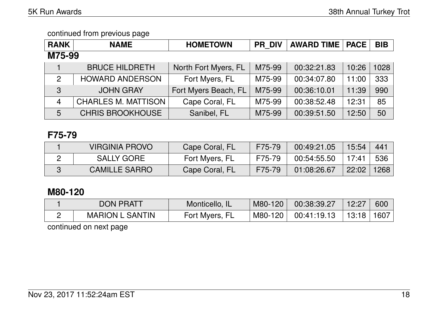| <b>RANK</b>     | <b>NAME</b>                | <b>HOMETOWN</b>      | <b>PR DIV</b> | <b>AWARD TIME   PACE</b> |       | <b>BIB</b> |
|-----------------|----------------------------|----------------------|---------------|--------------------------|-------|------------|
| M75-99          |                            |                      |               |                          |       |            |
|                 | <b>BRUCE HILDRETH</b>      | North Fort Myers, FL | M75-99        | 00:32:21.83              | 10:26 | 1028       |
| $\overline{2}$  | <b>HOWARD ANDERSON</b>     | Fort Myers, FL       | M75-99        | 00:34:07.80              | 11:00 | 333        |
| $\mathbf{3}$    | <b>JOHN GRAY</b>           | Fort Myers Beach, FL | M75-99        | 00:36:10.01              | 11:39 | 990        |
| $\overline{4}$  | <b>CHARLES M. MATTISON</b> | Cape Coral, FL       | M75-99        | 00:38:52.48              | 12:31 | 85         |
| $5\overline{)}$ | <b>CHRIS BROOKHOUSE</b>    | Sanibel, FL          | M75-99        | 00:39:51.50              | 12:50 | 50         |

### **F75-79**

| VIRGINIA PROVO       | Cape Coral, FL | F75-79 | 00:49:21.05 | 15:54 | 441  |
|----------------------|----------------|--------|-------------|-------|------|
| <b>SALLY GORE</b>    | Fort Myers, FL | F75-79 | 00:54:55.50 | 17.41 | 536  |
| <b>CAMILLE SARRO</b> | Cape Coral, FL | F75-79 | 01:08:26.67 | 22:02 | 1268 |

### **M80-120**

| <b>DON PRATT</b>       | Monticello,    | M80-120 | 00:38:39.27 | 12:27 | 600  |
|------------------------|----------------|---------|-------------|-------|------|
| <b>MARION L SANTIN</b> | Fort Myers, FL | M80-120 | 00:41:19.13 | 13:18 | 1607 |